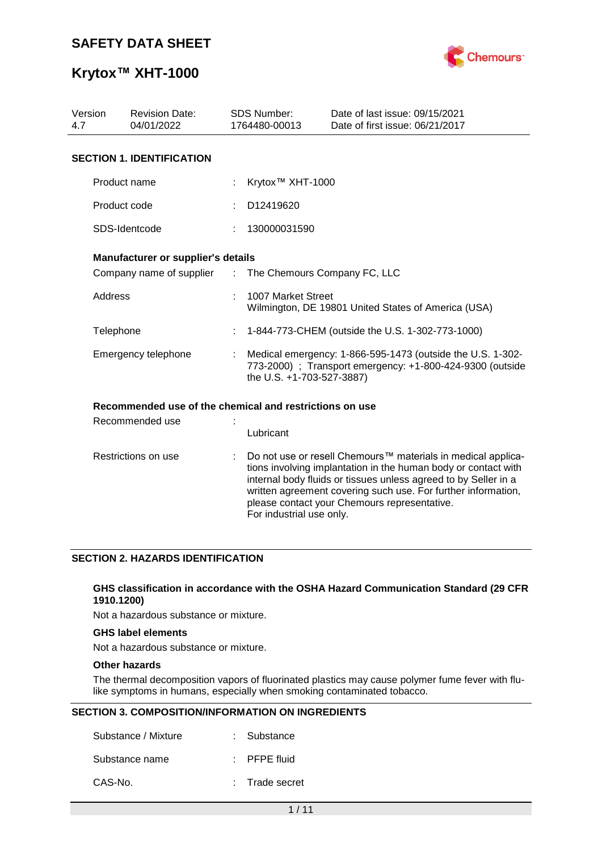

# **Krytox™ XHT-1000**

| Version<br>4.7      | <b>Revision Date:</b><br>04/01/2022                     |         | <b>SDS Number:</b><br>1764480-00013                                                                                                                  | Date of last issue: 09/15/2021<br>Date of first issue: 06/21/2017                                                                                                                                                                                                                                                  |  |  |  |  |
|---------------------|---------------------------------------------------------|---------|------------------------------------------------------------------------------------------------------------------------------------------------------|--------------------------------------------------------------------------------------------------------------------------------------------------------------------------------------------------------------------------------------------------------------------------------------------------------------------|--|--|--|--|
|                     | <b>SECTION 1. IDENTIFICATION</b>                        |         |                                                                                                                                                      |                                                                                                                                                                                                                                                                                                                    |  |  |  |  |
|                     | Product name                                            |         | Krytox <sup>™</sup> XHT-1000                                                                                                                         |                                                                                                                                                                                                                                                                                                                    |  |  |  |  |
|                     | Product code                                            |         | D12419620                                                                                                                                            |                                                                                                                                                                                                                                                                                                                    |  |  |  |  |
|                     | SDS-Identcode                                           |         | 130000031590                                                                                                                                         |                                                                                                                                                                                                                                                                                                                    |  |  |  |  |
|                     | <b>Manufacturer or supplier's details</b>               |         |                                                                                                                                                      |                                                                                                                                                                                                                                                                                                                    |  |  |  |  |
|                     | Company name of supplier                                | $-1.11$ | The Chemours Company FC, LLC                                                                                                                         |                                                                                                                                                                                                                                                                                                                    |  |  |  |  |
|                     | <b>Address</b>                                          |         | 1007 Market Street<br>Wilmington, DE 19801 United States of America (USA)                                                                            |                                                                                                                                                                                                                                                                                                                    |  |  |  |  |
| Telephone           |                                                         |         |                                                                                                                                                      | 1-844-773-CHEM (outside the U.S. 1-302-773-1000)                                                                                                                                                                                                                                                                   |  |  |  |  |
| Emergency telephone |                                                         |         | Medical emergency: 1-866-595-1473 (outside the U.S. 1-302-<br>773-2000) ; Transport emergency: +1-800-424-9300 (outside<br>the U.S. +1-703-527-3887) |                                                                                                                                                                                                                                                                                                                    |  |  |  |  |
|                     | Recommended use of the chemical and restrictions on use |         |                                                                                                                                                      |                                                                                                                                                                                                                                                                                                                    |  |  |  |  |
|                     | Recommended use                                         |         | Lubricant                                                                                                                                            |                                                                                                                                                                                                                                                                                                                    |  |  |  |  |
|                     | Restrictions on use                                     |         | For industrial use only.                                                                                                                             | Do not use or resell Chemours™ materials in medical applica-<br>tions involving implantation in the human body or contact with<br>internal body fluids or tissues unless agreed to by Seller in a<br>written agreement covering such use. For further information,<br>please contact your Chemours representative. |  |  |  |  |

#### **SECTION 2. HAZARDS IDENTIFICATION**

#### **GHS classification in accordance with the OSHA Hazard Communication Standard (29 CFR 1910.1200)**

Not a hazardous substance or mixture.

### **GHS label elements**

Not a hazardous substance or mixture.

#### **Other hazards**

The thermal decomposition vapors of fluorinated plastics may cause polymer fume fever with flulike symptoms in humans, especially when smoking contaminated tobacco.

#### **SECTION 3. COMPOSITION/INFORMATION ON INGREDIENTS**

| Substance / Mixture | : Substance             |
|---------------------|-------------------------|
| Substance name      | $\therefore$ PFPE fluid |
| CAS-No.             | : Trade secret          |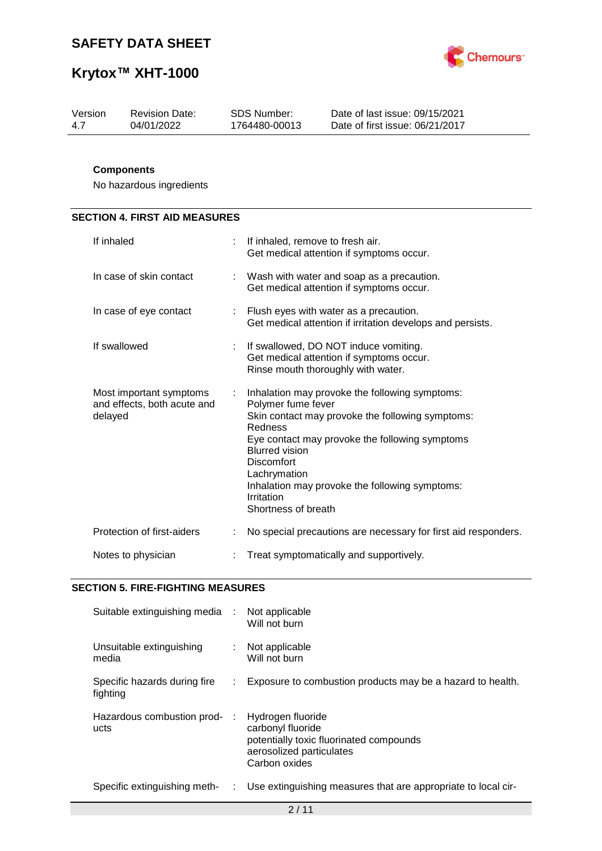

| Date of last issue: 09/15/2021<br>SDS Number:<br>Version<br><b>Revision Date:</b><br>04/01/2022<br>Date of first issue: 06/21/2017<br>1764480-00013<br>4.7 |  |
|------------------------------------------------------------------------------------------------------------------------------------------------------------|--|
|------------------------------------------------------------------------------------------------------------------------------------------------------------|--|

### **Components**

No hazardous ingredients

## **SECTION 4. FIRST AID MEASURES**

| If inhaled                                                        |    | If inhaled, remove to fresh air.<br>Get medical attention if symptoms occur.                                                                                                                                                                                                                                                               |
|-------------------------------------------------------------------|----|--------------------------------------------------------------------------------------------------------------------------------------------------------------------------------------------------------------------------------------------------------------------------------------------------------------------------------------------|
| In case of skin contact                                           |    | Wash with water and soap as a precaution.<br>Get medical attention if symptoms occur.                                                                                                                                                                                                                                                      |
| In case of eye contact                                            |    | : Flush eyes with water as a precaution.<br>Get medical attention if irritation develops and persists.                                                                                                                                                                                                                                     |
| If swallowed                                                      | ÷  | If swallowed, DO NOT induce vomiting.<br>Get medical attention if symptoms occur.<br>Rinse mouth thoroughly with water.                                                                                                                                                                                                                    |
| Most important symptoms<br>and effects, both acute and<br>delayed | ÷. | Inhalation may provoke the following symptoms:<br>Polymer fume fever<br>Skin contact may provoke the following symptoms:<br>Redness<br>Eye contact may provoke the following symptoms<br><b>Blurred vision</b><br><b>Discomfort</b><br>Lachrymation<br>Inhalation may provoke the following symptoms:<br>Irritation<br>Shortness of breath |
| Protection of first-aiders                                        |    | No special precautions are necessary for first aid responders.                                                                                                                                                                                                                                                                             |
| Notes to physician                                                |    | Treat symptomatically and supportively.                                                                                                                                                                                                                                                                                                    |

#### **SECTION 5. FIRE-FIGHTING MEASURES**

| Suitable extinguishing media :           |    | Not applicable<br>Will not burn                                                                                                |
|------------------------------------------|----|--------------------------------------------------------------------------------------------------------------------------------|
| Unsuitable extinguishing<br>media        | t. | Not applicable<br>Will not burn                                                                                                |
| Specific hazards during fire<br>fighting |    | Exposure to combustion products may be a hazard to health.                                                                     |
| Hazardous combustion prod-<br>ucts       |    | Hydrogen fluoride<br>carbonyl fluoride<br>potentially toxic fluorinated compounds<br>aerosolized particulates<br>Carbon oxides |
| Specific extinguishing meth-             | t. | Use extinguishing measures that are appropriate to local cir-                                                                  |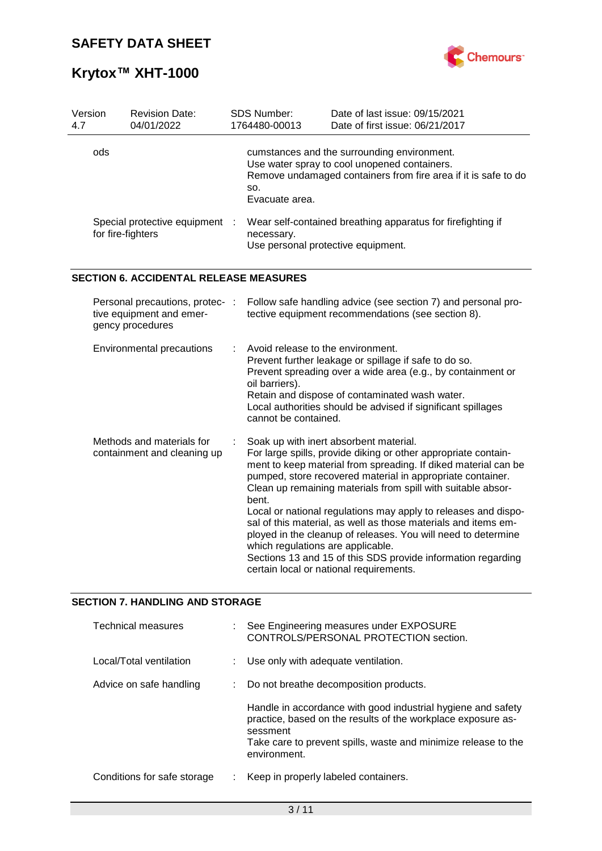

| Version<br>4.7 | <b>Revision Date:</b><br>04/01/2022                                             |  | SDS Number:<br>1764480-00013                                                | Date of last issue: 09/15/2021<br>Date of first issue: 06/21/2017                                                                                                                                                                                                                                                                                                                                                                                                                                                                                                                                                        |
|----------------|---------------------------------------------------------------------------------|--|-----------------------------------------------------------------------------|--------------------------------------------------------------------------------------------------------------------------------------------------------------------------------------------------------------------------------------------------------------------------------------------------------------------------------------------------------------------------------------------------------------------------------------------------------------------------------------------------------------------------------------------------------------------------------------------------------------------------|
|                | ods                                                                             |  | SO.<br>Evacuate area.                                                       | cumstances and the surrounding environment.<br>Use water spray to cool unopened containers.<br>Remove undamaged containers from fire area if it is safe to do                                                                                                                                                                                                                                                                                                                                                                                                                                                            |
|                | Special protective equipment<br>for fire-fighters                               |  | necessary.<br>Use personal protective equipment.                            | Wear self-contained breathing apparatus for firefighting if                                                                                                                                                                                                                                                                                                                                                                                                                                                                                                                                                              |
|                | <b>SECTION 6. ACCIDENTAL RELEASE MEASURES</b>                                   |  |                                                                             |                                                                                                                                                                                                                                                                                                                                                                                                                                                                                                                                                                                                                          |
|                | Personal precautions, protec- :<br>tive equipment and emer-<br>gency procedures |  |                                                                             | Follow safe handling advice (see section 7) and personal pro-<br>tective equipment recommendations (see section 8).                                                                                                                                                                                                                                                                                                                                                                                                                                                                                                      |
|                | Environmental precautions                                                       |  | Avoid release to the environment.<br>oil barriers).<br>cannot be contained. | Prevent further leakage or spillage if safe to do so.<br>Prevent spreading over a wide area (e.g., by containment or<br>Retain and dispose of contaminated wash water.<br>Local authorities should be advised if significant spillages                                                                                                                                                                                                                                                                                                                                                                                   |
|                | Methods and materials for<br>containment and cleaning up                        |  | bent.<br>which regulations are applicable.                                  | Soak up with inert absorbent material.<br>For large spills, provide diking or other appropriate contain-<br>ment to keep material from spreading. If diked material can be<br>pumped, store recovered material in appropriate container.<br>Clean up remaining materials from spill with suitable absor-<br>Local or national regulations may apply to releases and dispo-<br>sal of this material, as well as those materials and items em-<br>ployed in the cleanup of releases. You will need to determine<br>Sections 13 and 15 of this SDS provide information regarding<br>certain local or national requirements. |

## **SECTION 7. HANDLING AND STORAGE**

| <b>Technical measures</b>   | See Engineering measures under EXPOSURE<br>CONTROLS/PERSONAL PROTECTION section.                                                                                                                                           |
|-----------------------------|----------------------------------------------------------------------------------------------------------------------------------------------------------------------------------------------------------------------------|
| Local/Total ventilation     | Use only with adequate ventilation.                                                                                                                                                                                        |
| Advice on safe handling     | Do not breathe decomposition products.                                                                                                                                                                                     |
|                             | Handle in accordance with good industrial hygiene and safety<br>practice, based on the results of the workplace exposure as-<br>sessment<br>Take care to prevent spills, waste and minimize release to the<br>environment. |
| Conditions for safe storage | Keep in properly labeled containers.                                                                                                                                                                                       |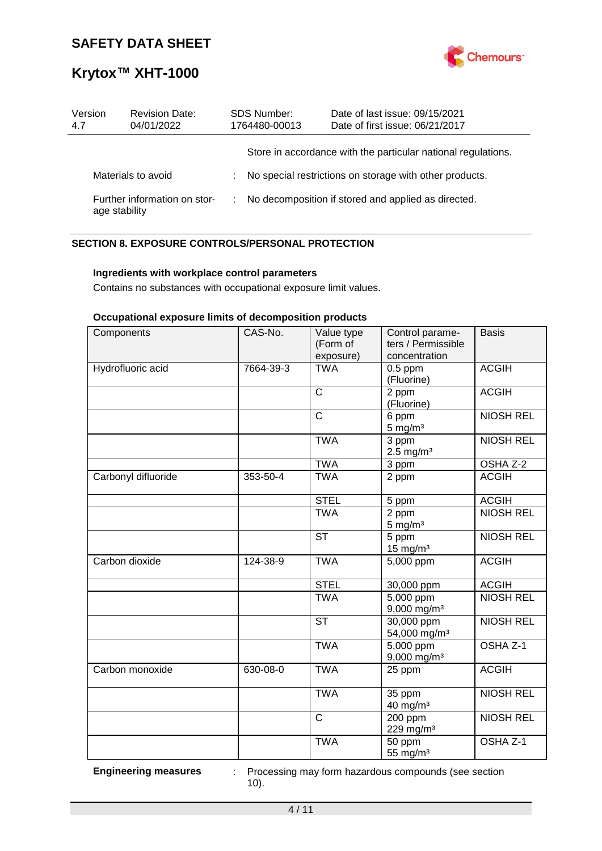

| Version<br>4.7                                | <b>Revision Date:</b><br>04/01/2022 |                                                         | <b>SDS Number:</b><br>1764480-00013 | Date of last issue: 09/15/2021<br>Date of first issue: 06/21/2017 |  |
|-----------------------------------------------|-------------------------------------|---------------------------------------------------------|-------------------------------------|-------------------------------------------------------------------|--|
|                                               |                                     |                                                         |                                     | Store in accordance with the particular national regulations.     |  |
| Materials to avoid                            |                                     | No special restrictions on storage with other products. |                                     |                                                                   |  |
| Further information on stor-<br>age stability |                                     |                                                         |                                     | No decomposition if stored and applied as directed.               |  |

### **SECTION 8. EXPOSURE CONTROLS/PERSONAL PROTECTION**

#### **Ingredients with workplace control parameters**

Contains no substances with occupational exposure limit values.

#### **Occupational exposure limits of decomposition products**

| Components          | CAS-No.   | Value type<br>(Form of<br>exposure) | Control parame-<br>ters / Permissible<br>concentration | <b>Basis</b>        |
|---------------------|-----------|-------------------------------------|--------------------------------------------------------|---------------------|
| Hydrofluoric acid   | 7664-39-3 | <b>TWA</b>                          | $0.5$ ppm<br>(Fluorine)                                | <b>ACGIH</b>        |
|                     |           | C                                   | 2 ppm<br>(Fluorine)                                    | <b>ACGIH</b>        |
|                     |           | C                                   | 6 ppm<br>$5 \text{ mg/m}^3$                            | <b>NIOSH REL</b>    |
|                     |           | <b>TWA</b>                          | 3 ppm<br>$2.5$ mg/m <sup>3</sup>                       | <b>NIOSH REL</b>    |
|                     |           | <b>TWA</b>                          | 3 ppm                                                  | OSHA Z-2            |
| Carbonyl difluoride | 353-50-4  | <b>TWA</b>                          | 2 ppm                                                  | <b>ACGIH</b>        |
|                     |           | <b>STEL</b>                         | 5 ppm                                                  | <b>ACGIH</b>        |
|                     |           | <b>TWA</b>                          | 2 ppm<br>$5 \text{ mg/m}^3$                            | <b>NIOSH REL</b>    |
|                     |           | <b>ST</b>                           | 5 ppm<br>$15 \text{ mg/m}^3$                           | <b>NIOSH REL</b>    |
| Carbon dioxide      | 124-38-9  | <b>TWA</b>                          | 5,000 ppm                                              | <b>ACGIH</b>        |
|                     |           | <b>STEL</b>                         | 30,000 ppm                                             | <b>ACGIH</b>        |
|                     |           | <b>TWA</b>                          | $5,000$ ppm<br>$9,000$ mg/m <sup>3</sup>               | <b>NIOSH REL</b>    |
|                     |           | <b>ST</b>                           | 30,000 ppm<br>54,000 mg/m <sup>3</sup>                 | <b>NIOSH REL</b>    |
|                     |           | <b>TWA</b>                          | 5,000 ppm<br>$9,000$ mg/m <sup>3</sup>                 | OSHA <sub>Z-1</sub> |
| Carbon monoxide     | 630-08-0  | <b>TWA</b>                          | 25 ppm                                                 | <b>ACGIH</b>        |
|                     |           | <b>TWA</b>                          | 35 ppm<br>40 mg/m <sup>3</sup>                         | <b>NIOSH REL</b>    |
|                     |           | $\mathsf{C}$                        | 200 ppm<br>229 mg/m <sup>3</sup>                       | <b>NIOSH REL</b>    |
|                     |           | <b>TWA</b>                          | 50 ppm<br>55 mg/m <sup>3</sup>                         | OSHA Z-1            |

**Engineering measures** : Processing may form hazardous compounds (see section 10).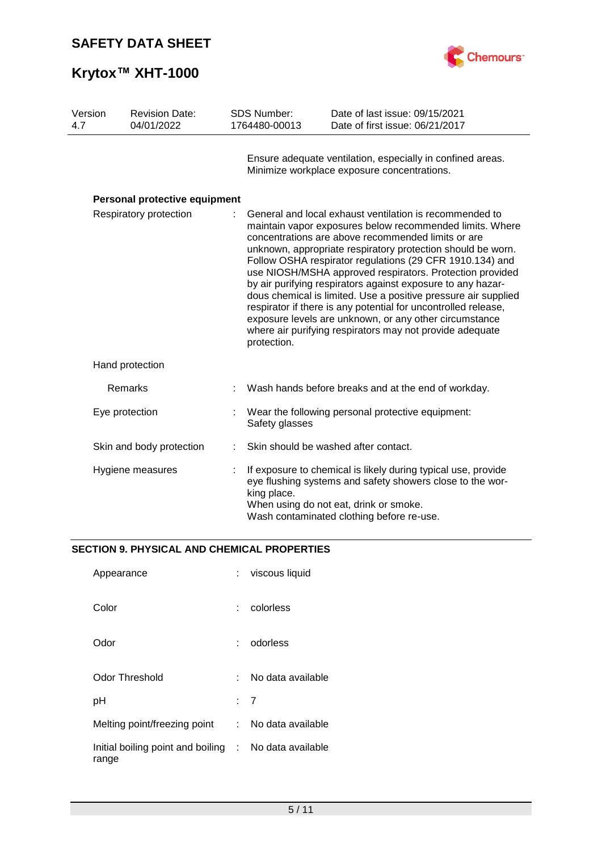

| Version<br>4.7 | <b>Revision Date:</b><br>04/01/2022 | <b>SDS Number:</b><br>1764480-00013                                                                                                                                                                                                                                                                                                                                                                                                                                                                                                                                                                                                                                                                      | Date of last issue: 09/15/2021<br>Date of first issue: 06/21/2017                                         |
|----------------|-------------------------------------|----------------------------------------------------------------------------------------------------------------------------------------------------------------------------------------------------------------------------------------------------------------------------------------------------------------------------------------------------------------------------------------------------------------------------------------------------------------------------------------------------------------------------------------------------------------------------------------------------------------------------------------------------------------------------------------------------------|-----------------------------------------------------------------------------------------------------------|
|                |                                     |                                                                                                                                                                                                                                                                                                                                                                                                                                                                                                                                                                                                                                                                                                          | Ensure adequate ventilation, especially in confined areas.<br>Minimize workplace exposure concentrations. |
|                | Personal protective equipment       |                                                                                                                                                                                                                                                                                                                                                                                                                                                                                                                                                                                                                                                                                                          |                                                                                                           |
|                | Respiratory protection              | General and local exhaust ventilation is recommended to<br>maintain vapor exposures below recommended limits. Where<br>concentrations are above recommended limits or are<br>unknown, appropriate respiratory protection should be worn.<br>Follow OSHA respirator regulations (29 CFR 1910.134) and<br>use NIOSH/MSHA approved respirators. Protection provided<br>by air purifying respirators against exposure to any hazar-<br>dous chemical is limited. Use a positive pressure air supplied<br>respirator if there is any potential for uncontrolled release,<br>exposure levels are unknown, or any other circumstance<br>where air purifying respirators may not provide adequate<br>protection. |                                                                                                           |
|                | Hand protection                     |                                                                                                                                                                                                                                                                                                                                                                                                                                                                                                                                                                                                                                                                                                          |                                                                                                           |
|                | Remarks                             |                                                                                                                                                                                                                                                                                                                                                                                                                                                                                                                                                                                                                                                                                                          | Wash hands before breaks and at the end of workday.                                                       |
|                | Eye protection                      | Safety glasses                                                                                                                                                                                                                                                                                                                                                                                                                                                                                                                                                                                                                                                                                           | Wear the following personal protective equipment:                                                         |
|                | Skin and body protection            |                                                                                                                                                                                                                                                                                                                                                                                                                                                                                                                                                                                                                                                                                                          | Skin should be washed after contact.                                                                      |
|                | Hygiene measures                    | If exposure to chemical is likely during typical use, provide<br>eye flushing systems and safety showers close to the wor-<br>king place.<br>When using do not eat, drink or smoke.<br>Wash contaminated clothing before re-use.                                                                                                                                                                                                                                                                                                                                                                                                                                                                         |                                                                                                           |

## **SECTION 9. PHYSICAL AND CHEMICAL PROPERTIES**

| Appearance                                                     |       | viscous liquid    |
|----------------------------------------------------------------|-------|-------------------|
| Color                                                          |       | colorless         |
| Odor                                                           |       | odorless          |
| Odor Threshold                                                 | t - 1 | No data available |
| рH                                                             |       | : 7               |
| Melting point/freezing point :                                 |       | No data available |
| Initial boiling point and boiling : No data available<br>range |       |                   |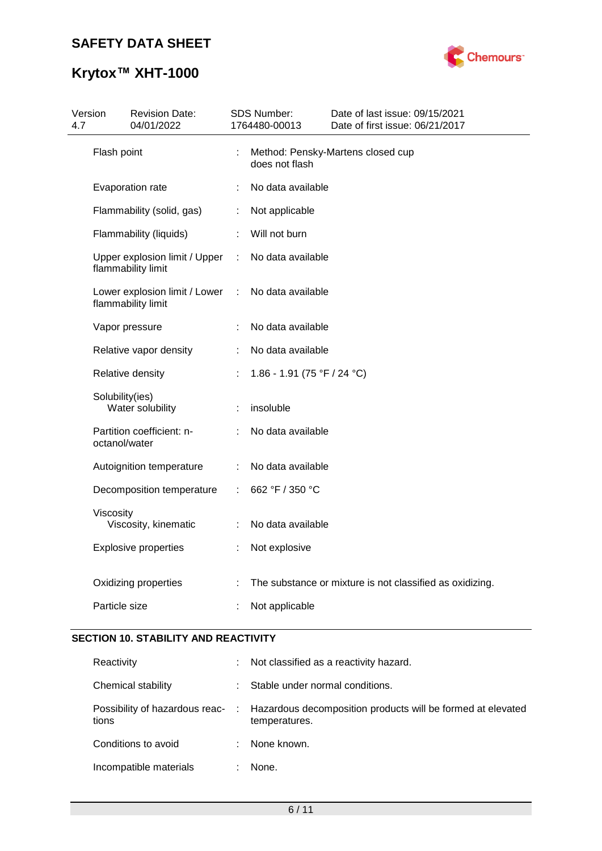# **Krytox™ XHT-1000**



| 4.7 | Version         | <b>Revision Date:</b><br>04/01/2022                 |   | SDS Number:<br>1764480-00013 | Date of last issue: 09/15/2021<br>Date of first issue: 06/21/2017 |
|-----|-----------------|-----------------------------------------------------|---|------------------------------|-------------------------------------------------------------------|
|     | Flash point     |                                                     | t | does not flash               | Method: Pensky-Martens closed cup                                 |
|     |                 | Evaporation rate                                    | ÷ | No data available            |                                                                   |
|     |                 | Flammability (solid, gas)                           | ÷ | Not applicable               |                                                                   |
|     |                 | Flammability (liquids)                              | ÷ | Will not burn                |                                                                   |
|     |                 | Upper explosion limit / Upper<br>flammability limit | ÷ | No data available            |                                                                   |
|     |                 | Lower explosion limit / Lower<br>flammability limit | ÷ | No data available            |                                                                   |
|     |                 | Vapor pressure                                      |   | No data available            |                                                                   |
|     |                 | Relative vapor density                              |   | No data available            |                                                                   |
|     |                 | Relative density                                    |   | 1.86 - 1.91 (75 °F / 24 °C)  |                                                                   |
|     | Solubility(ies) | Water solubility                                    | ÷ | insoluble                    |                                                                   |
|     | octanol/water   | Partition coefficient: n-                           |   | No data available            |                                                                   |
|     |                 | Autoignition temperature                            | ÷ | No data available            |                                                                   |
|     |                 | Decomposition temperature                           |   | 662 °F / 350 °C              |                                                                   |
|     | Viscosity       | Viscosity, kinematic                                | ÷ | No data available            |                                                                   |
|     |                 | <b>Explosive properties</b>                         |   | Not explosive                |                                                                   |
|     |                 | Oxidizing properties                                |   |                              | The substance or mixture is not classified as oxidizing.          |
|     | Particle size   |                                                     |   | Not applicable               |                                                                   |

## **SECTION 10. STABILITY AND REACTIVITY**

| Reactivity             | ÷. | Not classified as a reactivity hazard.                                                                        |
|------------------------|----|---------------------------------------------------------------------------------------------------------------|
| Chemical stability     |    | Stable under normal conditions.                                                                               |
| tions                  |    | Possibility of hazardous reac- : Hazardous decomposition products will be formed at elevated<br>temperatures. |
| Conditions to avoid    |    | None known.                                                                                                   |
| Incompatible materials |    | None.                                                                                                         |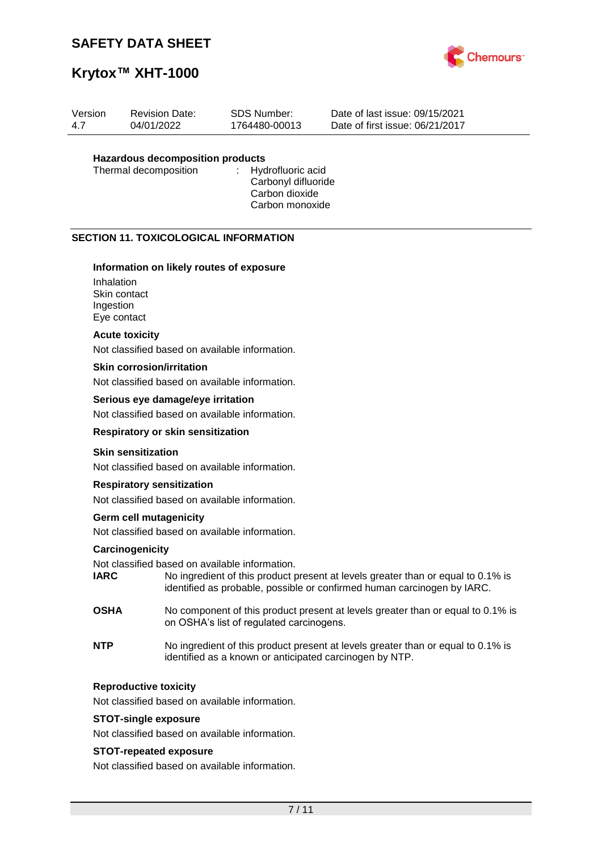

# **Krytox™ XHT-1000**

| Version | <b>Revision Date:</b> | SDS Number:   | Date of last issue: 09/15/2021  |
|---------|-----------------------|---------------|---------------------------------|
| 4.7     | 04/01/2022            | 1764480-00013 | Date of first issue: 06/21/2017 |
|         |                       |               |                                 |

# **Hazardous decomposition products**

Thermal decomposition

Carbonyl difluoride Carbon dioxide Carbon monoxide

#### **SECTION 11. TOXICOLOGICAL INFORMATION**

#### **Information on likely routes of exposure**

Inhalation Skin contact Ingestion Eye contact

#### **Acute toxicity**

Not classified based on available information.

#### **Skin corrosion/irritation**

Not classified based on available information.

#### **Serious eye damage/eye irritation**

Not classified based on available information.

#### **Respiratory or skin sensitization**

#### **Skin sensitization**

Not classified based on available information.

#### **Respiratory sensitization**

Not classified based on available information.

#### **Germ cell mutagenicity**

Not classified based on available information.

#### **Carcinogenicity**

Not classified based on available information.

- **IARC** No ingredient of this product present at levels greater than or equal to 0.1% is identified as probable, possible or confirmed human carcinogen by IARC.
- **OSHA** No component of this product present at levels greater than or equal to 0.1% is on OSHA's list of regulated carcinogens.
- **NTP** No ingredient of this product present at levels greater than or equal to 0.1% is identified as a known or anticipated carcinogen by NTP.

#### **Reproductive toxicity**

Not classified based on available information.

#### **STOT-single exposure**

Not classified based on available information.

#### **STOT-repeated exposure**

Not classified based on available information.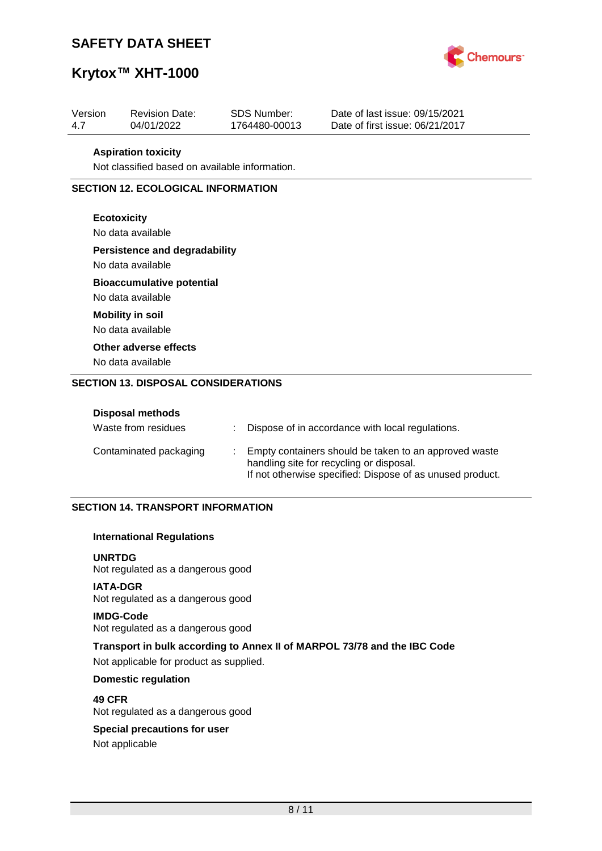

# **Krytox™ XHT-1000**

| Version | <b>Revision Date:</b> | SDS Number:   | Date of last issue: 09/15/2021  |
|---------|-----------------------|---------------|---------------------------------|
| -47     | 04/01/2022            | 1764480-00013 | Date of first issue: 06/21/2017 |

#### **Aspiration toxicity**

Not classified based on available information.

#### **SECTION 12. ECOLOGICAL INFORMATION**

#### **Ecotoxicity**

No data available

#### **Persistence and degradability**

No data available

### **Bioaccumulative potential**

No data available **Mobility in soil**

No data available

### **Other adverse effects**

No data available

#### **SECTION 13. DISPOSAL CONSIDERATIONS**

| <b>Disposal methods</b><br>Waste from residues | Dispose of in accordance with local regulations.                                                                                                               |
|------------------------------------------------|----------------------------------------------------------------------------------------------------------------------------------------------------------------|
| Contaminated packaging                         | Empty containers should be taken to an approved waste<br>handling site for recycling or disposal.<br>If not otherwise specified: Dispose of as unused product. |

#### **SECTION 14. TRANSPORT INFORMATION**

#### **International Regulations**

**UNRTDG** Not regulated as a dangerous good

#### **IATA-DGR**

Not regulated as a dangerous good

#### **IMDG-Code**

Not regulated as a dangerous good

### **Transport in bulk according to Annex II of MARPOL 73/78 and the IBC Code** Not applicable for product as supplied.

#### **Domestic regulation**

**49 CFR** Not regulated as a dangerous good

# **Special precautions for user**

Not applicable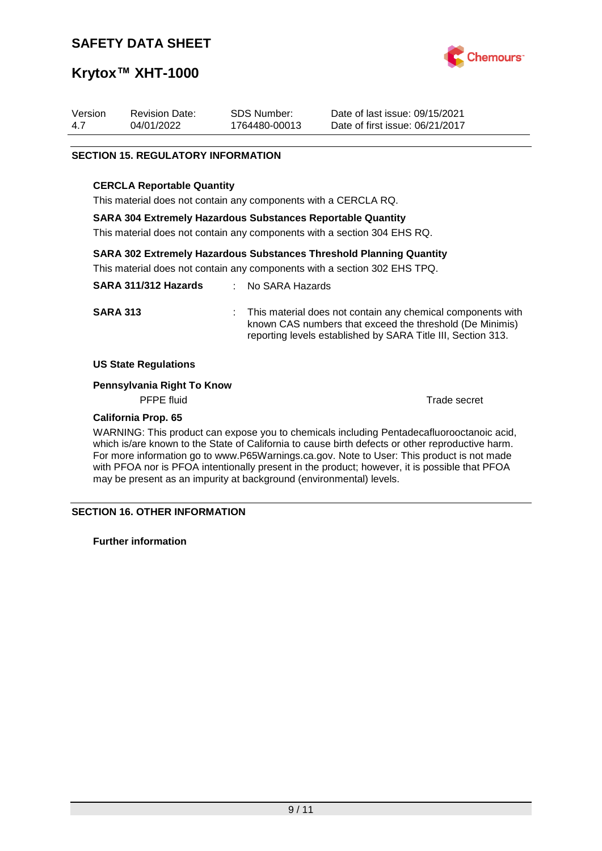

# **Krytox™ XHT-1000**

| Version | <b>Revision Date:</b> | SDS Number:   | Date of last issue: 09/15/2021  |
|---------|-----------------------|---------------|---------------------------------|
| -4.7    | 04/01/2022            | 1764480-00013 | Date of first issue: 06/21/2017 |

#### **SECTION 15. REGULATORY INFORMATION**

#### **CERCLA Reportable Quantity**

This material does not contain any components with a CERCLA RQ.

#### **SARA 304 Extremely Hazardous Substances Reportable Quantity**

This material does not contain any components with a section 304 EHS RQ.

#### **SARA 302 Extremely Hazardous Substances Threshold Planning Quantity**

This material does not contain any components with a section 302 EHS TPQ.

| SARA 311/312 Hazards | : No SARA Hazards                                                                                                                                                                         |
|----------------------|-------------------------------------------------------------------------------------------------------------------------------------------------------------------------------------------|
| <b>SARA 313</b>      | : This material does not contain any chemical components with<br>known CAS numbers that exceed the threshold (De Minimis)<br>reporting levels established by SARA Title III, Section 313. |

#### **US State Regulations**

#### **Pennsylvania Right To Know**

PFPE fluid Trade secret

### **California Prop. 65**

WARNING: This product can expose you to chemicals including Pentadecafluorooctanoic acid, which is/are known to the State of California to cause birth defects or other reproductive harm. For more information go to www.P65Warnings.ca.gov. Note to User: This product is not made with PFOA nor is PFOA intentionally present in the product; however, it is possible that PFOA may be present as an impurity at background (environmental) levels.

#### **SECTION 16. OTHER INFORMATION**

**Further information**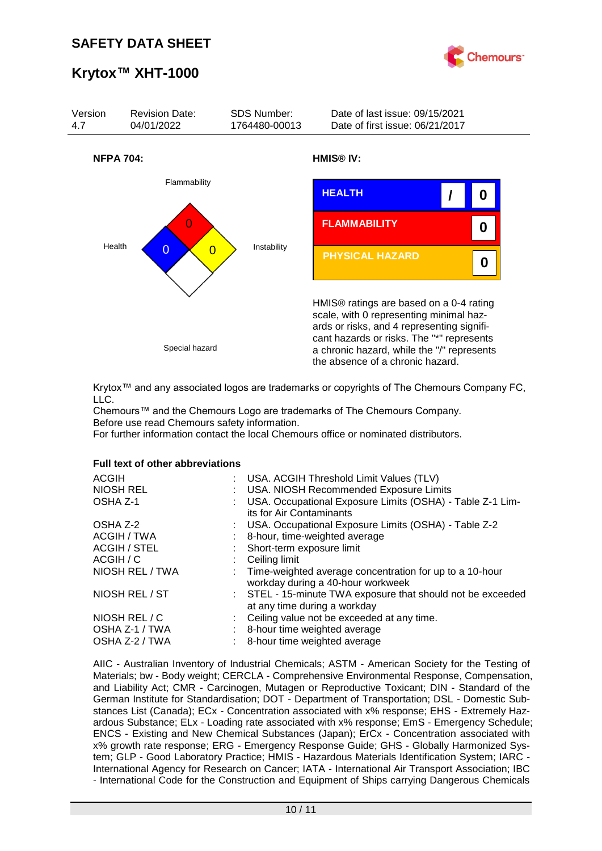



Krytox™ and any associated logos are trademarks or copyrights of The Chemours Company FC, LLC.

Chemours™ and the Chemours Logo are trademarks of The Chemours Company. Before use read Chemours safety information.

For further information contact the local Chemours office or nominated distributors.

#### **Full text of other abbreviations**

| <b>ACGIH</b><br>: USA. ACGIH Threshold Limit Values (TLV)<br>NIOSH REL<br>: USA. NIOSH Recommended Exposure Limits<br>USA. Occupational Exposure Limits (OSHA) - Table Z-1 Lim-<br>OSHA Z-1<br>its for Air Contaminants |  |
|-------------------------------------------------------------------------------------------------------------------------------------------------------------------------------------------------------------------------|--|
| : USA. Occupational Exposure Limits (OSHA) - Table Z-2<br>OSHA Z-2                                                                                                                                                      |  |
| ACGIH / TWA<br>8-hour, time-weighted average                                                                                                                                                                            |  |
| <b>ACGIH / STEL</b><br>: Short-term exposure limit                                                                                                                                                                      |  |
| ACGIH / C<br>Ceiling limit                                                                                                                                                                                              |  |
| NIOSH REL / TWA<br>: Time-weighted average concentration for up to a 10-hour<br>workday during a 40-hour workweek                                                                                                       |  |
| NIOSH REL / ST<br>: STEL - 15-minute TWA exposure that should not be exceeded<br>at any time during a workday                                                                                                           |  |
| NIOSH REL / C<br>: Ceiling value not be exceeded at any time.                                                                                                                                                           |  |
| OSHA Z-1 / TWA<br>8-hour time weighted average                                                                                                                                                                          |  |
| OSHA Z-2 / TWA<br>8-hour time weighted average                                                                                                                                                                          |  |

AIIC - Australian Inventory of Industrial Chemicals; ASTM - American Society for the Testing of Materials; bw - Body weight; CERCLA - Comprehensive Environmental Response, Compensation, and Liability Act; CMR - Carcinogen, Mutagen or Reproductive Toxicant; DIN - Standard of the German Institute for Standardisation; DOT - Department of Transportation; DSL - Domestic Substances List (Canada); ECx - Concentration associated with x% response; EHS - Extremely Hazardous Substance; ELx - Loading rate associated with x% response; EmS - Emergency Schedule; ENCS - Existing and New Chemical Substances (Japan); ErCx - Concentration associated with x% growth rate response; ERG - Emergency Response Guide; GHS - Globally Harmonized System; GLP - Good Laboratory Practice; HMIS - Hazardous Materials Identification System; IARC - International Agency for Research on Cancer; IATA - International Air Transport Association; IBC - International Code for the Construction and Equipment of Ships carrying Dangerous Chemicals